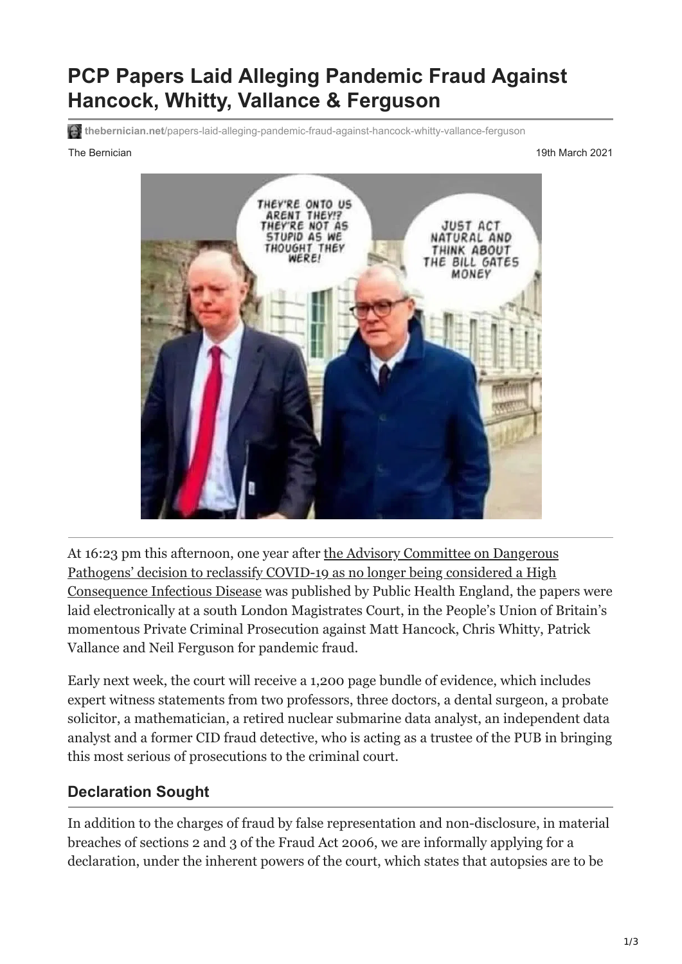# **PCP Papers Laid Alleging Pandemic Fraud Against Hancock, Whitty, Vallance & Ferguson**

**thebernician.net**[/papers-laid-alleging-pandemic-fraud-against-hancock-whitty-vallance-ferguson](https://www.thebernician.net/papers-laid-alleging-pandemic-fraud-against-hancock-whitty-vallance-ferguson/)

The Bernician 19th March 2021 and the Bernician 19th March 2021



At 16:23 pm this afternoon, one year after the Advisory Committee on Dangerous Pathogens' decision to reclassify COVID-19 as no longer being considered a High [Consequence Infectious Disease was published by Public Health England, the pap](https://www.gov.uk/guidance/high-consequence-infectious-diseases-hcid)ers were laid electronically at a south London Magistrates Court, in the People's Union of Britain's momentous Private Criminal Prosecution against Matt Hancock, Chris Whitty, Patrick Vallance and Neil Ferguson for pandemic fraud.

Early next week, the court will receive a 1,200 page bundle of evidence, which includes expert witness statements from two professors, three doctors, a dental surgeon, a probate solicitor, a mathematician, a retired nuclear submarine data analyst, an independent data analyst and a former CID fraud detective, who is acting as a trustee of the PUB in bringing this most serious of prosecutions to the criminal court.

#### **Declaration Sought**

In addition to the charges of fraud by false representation and non-disclosure, in material breaches of sections 2 and 3 of the Fraud Act 2006, we are informally applying for a declaration, under the inherent powers of the court, which states that autopsies are to be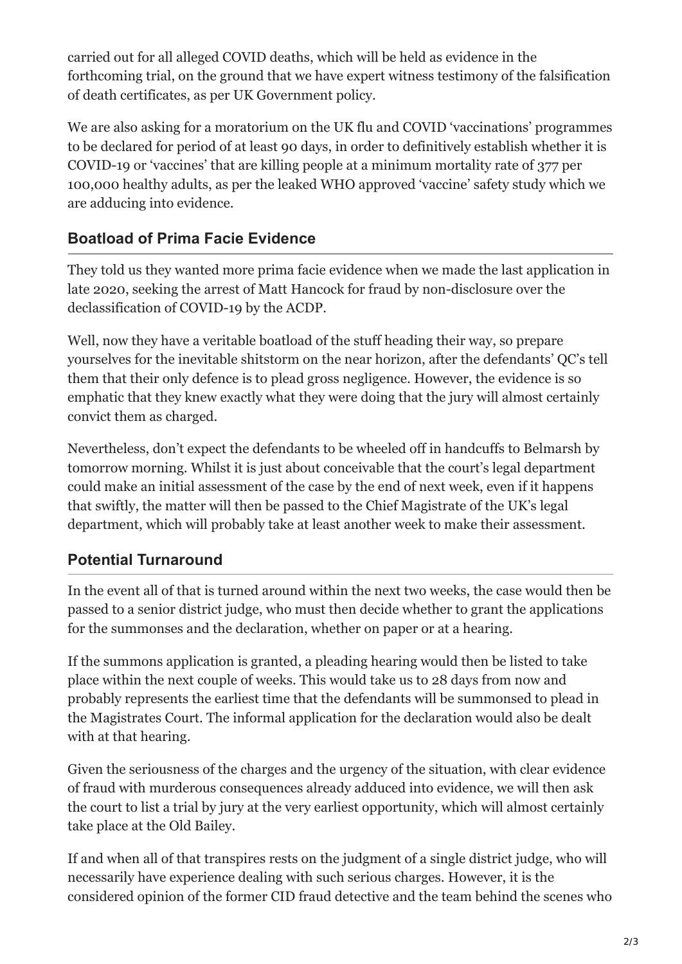carried out for all alleged COVID deaths, which will be held as evidence in the forthcoming trial, on the ground that we have expert witness testimony of the falsification of death certificates, as per UK Government policy.

We are also asking for a moratorium on the UK flu and COVID 'vaccinations' programmes to be declared for period of at least 90 days, in order to definitively establish whether it is COVID-19 or 'vaccines' that are killing people at a minimum mortality rate of 377 per 100,000 healthy adults, as per the leaked WHO approved 'vaccine' safety study which we are adducing into evidence.

### **Boatload of Prima Facie Evidence**

They told us they wanted more prima facie evidence when we made the last application in late 2020, seeking the arrest of Matt Hancock for fraud by non-disclosure over the declassification of COVID-19 by the ACDP.

Well, now they have a veritable boatload of the stuff heading their way, so prepare yourselves for the inevitable shitstorm on the near horizon, after the defendants' QC's tell them that their only defence is to plead gross negligence. However, the evidence is so emphatic that they knew exactly what they were doing that the jury will almost certainly convict them as charged.

Nevertheless, don't expect the defendants to be wheeled off in handcuffs to Belmarsh by tomorrow morning. Whilst it is just about conceivable that the court's legal department could make an initial assessment of the case by the end of next week, even if it happens that swiftly, the matter will then be passed to the Chief Magistrate of the UK's legal department, which will probably take at least another week to make their assessment.

## **Potential Turnaround**

In the event all of that is turned around within the next two weeks, the case would then be passed to a senior district judge, who must then decide whether to grant the applications for the summonses and the declaration, whether on paper or at a hearing.

If the summons application is granted, a pleading hearing would then be listed to take place within the next couple of weeks. This would take us to 28 days from now and probably represents the earliest time that the defendants will be summonsed to plead in the Magistrates Court. The informal application for the declaration would also be dealt with at that hearing.

Given the seriousness of the charges and the urgency of the situation, with clear evidence of fraud with murderous consequences already adduced into evidence, we will then ask the court to list a trial by jury at the very earliest opportunity, which will almost certainly take place at the Old Bailey.

If and when all of that transpires rests on the judgment of a single district judge, who will necessarily have experience dealing with such serious charges. However, it is the considered opinion of the former CID fraud detective and the team behind the scenes who